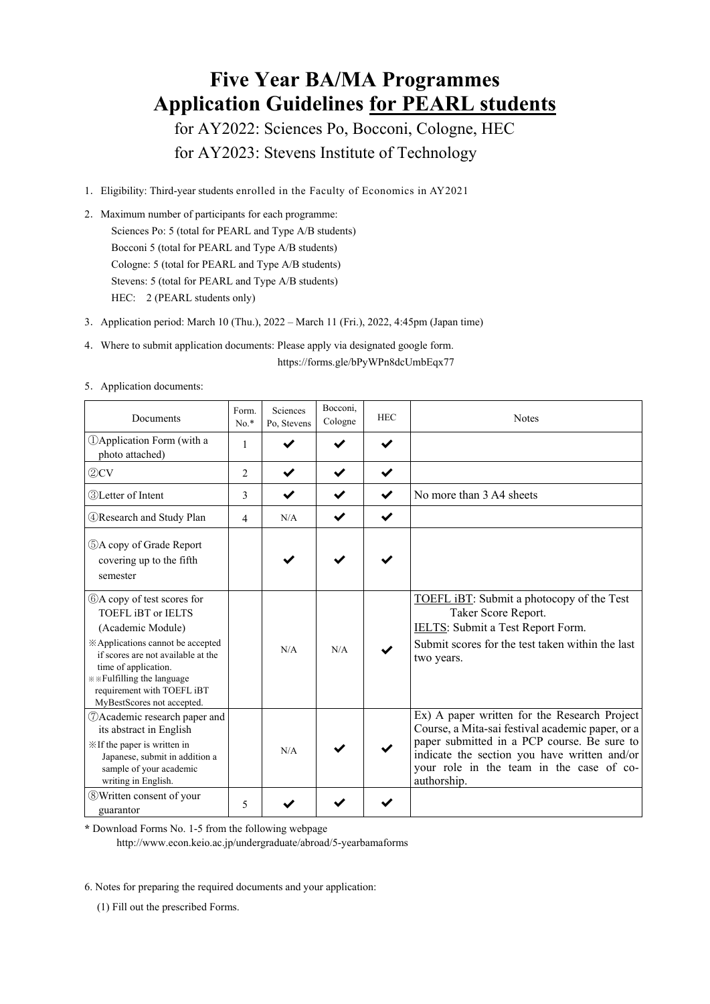# **Five Year BA/MA Programmes Application Guidelines for PEARL students**

for AY2022: Sciences Po, Bocconi, Cologne, HEC for AY2023: Stevens Institute of Technology

- 1.Eligibility: Third-year students enrolled in the Faculty of Economics in AY2021
- 2. Maximum number of participants for each programme: Sciences Po: 5 (total for PEARL and Type A/B students) Bocconi 5 (total for PEARL and Type A/B students) Cologne: 5 (total for PEARL and Type A/B students) Stevens: 5 (total for PEARL and Type A/B students) HEC: 2 (PEARL students only)
- 3.Application period: March 10 (Thu.), 2022 March 11 (Fri.), 2022, 4:45pm (Japan time)
- 4.Where to submit application documents: Please apply via designated google form. https://forms.gle/bPyWPn8dcUmbEqx77

| Documents                                                                                                                                                                                                                                                                  | Form.<br>$No.*$          | Sciences<br>Po, Stevens | Bocconi,<br>Cologne | <b>HEC</b>   | <b>Notes</b>                                                                                                                                                                                                                                               |
|----------------------------------------------------------------------------------------------------------------------------------------------------------------------------------------------------------------------------------------------------------------------------|--------------------------|-------------------------|---------------------|--------------|------------------------------------------------------------------------------------------------------------------------------------------------------------------------------------------------------------------------------------------------------------|
| <b>DApplication Form</b> (with a<br>photo attached)                                                                                                                                                                                                                        | 1                        |                         |                     | $\checkmark$ |                                                                                                                                                                                                                                                            |
| 2CV                                                                                                                                                                                                                                                                        | $\overline{c}$           | ✔                       | ✔                   | $\checkmark$ |                                                                                                                                                                                                                                                            |
| <b>3</b> Letter of Intent                                                                                                                                                                                                                                                  | 3                        |                         |                     | $\checkmark$ | No more than 3 A4 sheets                                                                                                                                                                                                                                   |
| <b>4 Research and Study Plan</b>                                                                                                                                                                                                                                           | $\overline{4}$           | N/A                     |                     | $\checkmark$ |                                                                                                                                                                                                                                                            |
| 5A copy of Grade Report<br>covering up to the fifth<br>semester                                                                                                                                                                                                            |                          |                         |                     |              |                                                                                                                                                                                                                                                            |
| 6A copy of test scores for<br><b>TOEFL IBT or IELTS</b><br>(Academic Module)<br>※ Applications cannot be accepted<br>if scores are not available at the<br>time of application.<br>*** Fulfilling the language<br>requirement with TOEFL iBT<br>MyBestScores not accepted. |                          | N/A                     | N/A                 |              | TOEFL iBT: Submit a photocopy of the Test<br>Taker Score Report.<br>IELTS: Submit a Test Report Form.<br>Submit scores for the test taken within the last<br>two years.                                                                                    |
| <b>DAcademic research paper and</b><br>its abstract in English<br>X If the paper is written in<br>Japanese, submit in addition a<br>sample of your academic<br>writing in English.                                                                                         |                          | N/A                     |                     |              | Ex) A paper written for the Research Project<br>Course, a Mita-sai festival academic paper, or a<br>paper submitted in a PCP course. Be sure to<br>indicate the section you have written and/or<br>your role in the team in the case of co-<br>authorship. |
| <b>8</b> Written consent of your<br>guarantor                                                                                                                                                                                                                              | $\overline{\mathcal{L}}$ |                         |                     |              |                                                                                                                                                                                                                                                            |

5.Application documents:

**\*** Download Forms No. 1-5 from the following webpage

http://www.econ.keio.ac.jp/undergraduate/abroad/5-yearbamaforms

6. Notes for preparing the required documents and your application:

(1) Fill out the prescribed Forms.